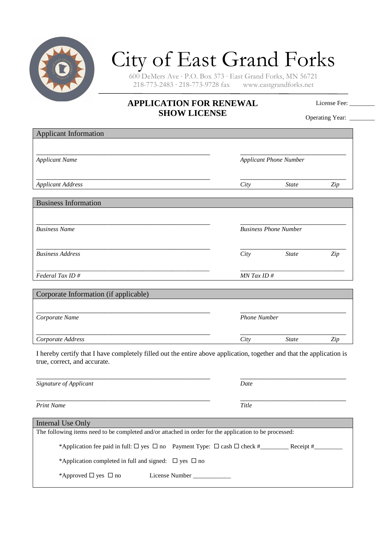

## City of East Grand Forks

600 DeMers Ave · P.O. Box 373 · East Grand Forks, MN 56721  $218-773-2483 \cdot 218-773-9728$  fax

## **APPLICATION FOR RENEWAL SHOW LICENSE**

License Fee:

Operating Year: \_\_\_\_\_\_\_

| <b>Applicant Information</b>                                                                                                                          |                               |              |     |  |
|-------------------------------------------------------------------------------------------------------------------------------------------------------|-------------------------------|--------------|-----|--|
|                                                                                                                                                       |                               |              |     |  |
| <b>Applicant Name</b>                                                                                                                                 | <b>Applicant Phone Number</b> |              |     |  |
| <b>Applicant Address</b>                                                                                                                              | City                          | <b>State</b> | Zip |  |
| <b>Business Information</b>                                                                                                                           |                               |              |     |  |
|                                                                                                                                                       |                               |              |     |  |
| <b>Business Name</b>                                                                                                                                  | <b>Business Phone Number</b>  |              |     |  |
| <b>Business Address</b>                                                                                                                               | City                          | <b>State</b> | Zip |  |
| Federal Tax ID#                                                                                                                                       | $MN$ Tax ID #                 |              |     |  |
| Corporate Information (if applicable)                                                                                                                 |                               |              |     |  |
|                                                                                                                                                       |                               |              |     |  |
| Corporate Name                                                                                                                                        | <b>Phone Number</b>           |              |     |  |
| Corporate Address                                                                                                                                     | City                          | <b>State</b> | Zip |  |
| I hereby certify that I have completely filled out the entire above application, together and that the application is<br>true, correct, and accurate. |                               |              |     |  |
|                                                                                                                                                       |                               |              |     |  |
| Signature of Applicant                                                                                                                                | Date                          |              |     |  |
| <b>Print Name</b>                                                                                                                                     | Title                         |              |     |  |

| Internal Use Only                                                                                      |                |             |  |  |
|--------------------------------------------------------------------------------------------------------|----------------|-------------|--|--|
| The following items need to be completed and/or attached in order for the application to be processed: |                |             |  |  |
| *Application fee paid in full: $\Box$ yes $\Box$ no Payment Type: $\Box$ cash $\Box$ check #           |                | Receipt $#$ |  |  |
| *Application completed in full and signed: $\Box$ yes $\Box$ no                                        |                |             |  |  |
| *Approved $\Box$ yes $\Box$ no                                                                         | License Number |             |  |  |